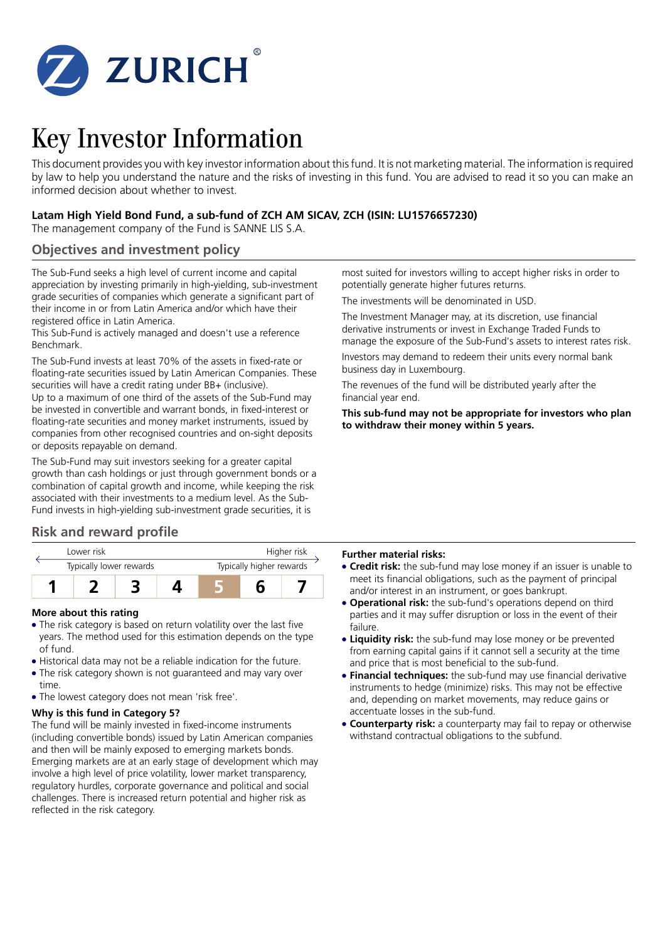

# Key Investor Information

This document provides you with key investor information about this fund. It is not marketing material. The information is required by law to help you understand the nature and the risks of investing in this fund. You are advised to read it so you can make an informed decision about whether to invest.

### **Latam High Yield Bond Fund, a sub-fund of ZCH AM SICAV, ZCH (ISIN: LU1576657230)**

The management company of the Fund is SANNE LIS S.A.

### **Objectives and investment policy**

The Sub-Fund seeks a high level of current income and capital appreciation by investing primarily in high-yielding, sub-investment grade securities of companies which generate a significant part of their income in or from Latin America and/or which have their registered office in Latin America.

This Sub-Fund is actively managed and doesn't use a reference Benchmark.

The Sub-Fund invests at least 70% of the assets in fixed-rate or floating-rate securities issued by Latin American Companies. These securities will have a credit rating under BB+ (inclusive). Up to a maximum of one third of the assets of the Sub-Fund may be invested in convertible and warrant bonds, in fixed-interest or

floating-rate securities and money market instruments, issued by companies from other recognised countries and on-sight deposits or deposits repayable on demand.

The Sub-Fund may suit investors seeking for a greater capital growth than cash holdings or just through government bonds or a combination of capital growth and income, while keeping the risk associated with their investments to a medium level. As the Sub-Fund invests in high-yielding sub-investment grade securities, it is

### **Risk and reward profile**

| Lower risk              |  |  |  | Higher risk              |  |  |
|-------------------------|--|--|--|--------------------------|--|--|
| Typically lower rewards |  |  |  | Typically higher rewards |  |  |
|                         |  |  |  |                          |  |  |

### **More about this rating**

- The risk category is based on return volatility over the last five years. The method used for this estimation depends on the type of fund.
- Historical data may not be a reliable indication for the future.
- The risk category shown is not guaranteed and may vary over time.
- The lowest category does not mean 'risk free'.

### **Why is this fund in Category 5?**

The fund will be mainly invested in fixed-income instruments (including convertible bonds) issued by Latin American companies and then will be mainly exposed to emerging markets bonds. Emerging markets are at an early stage of development which may involve a high level of price volatility, lower market transparency, regulatory hurdles, corporate governance and political and social challenges. There is increased return potential and higher risk as reflected in the risk category.

most suited for investors willing to accept higher risks in order to potentially generate higher futures returns.

The investments will be denominated in USD.

The Investment Manager may, at its discretion, use financial derivative instruments or invest in Exchange Traded Funds to manage the exposure of the Sub-Fund's assets to interest rates risk.

Investors may demand to redeem their units every normal bank business day in Luxembourg.

The revenues of the fund will be distributed yearly after the financial year end.

**This sub-fund may not be appropriate for investors who plan to withdraw their money within 5 years.**

### **Further material risks:**

- 5 **Credit risk:** the sub-fund may lose money if an issuer is unable to meet its financial obligations, such as the payment of principal and/or interest in an instrument, or goes bankrupt.
- **Operational risk:** the sub-fund's operations depend on third parties and it may suffer disruption or loss in the event of their failure.
- **Liquidity risk:** the sub-fund may lose money or be prevented from earning capital gains if it cannot sell a security at the time and price that is most beneficial to the sub-fund.
- **Financial techniques:** the sub-fund may use financial derivative instruments to hedge (minimize) risks. This may not be effective and, depending on market movements, may reduce gains or accentuate losses in the sub-fund.
- **Counterparty risk:** a counterparty may fail to repay or otherwise withstand contractual obligations to the subfund.